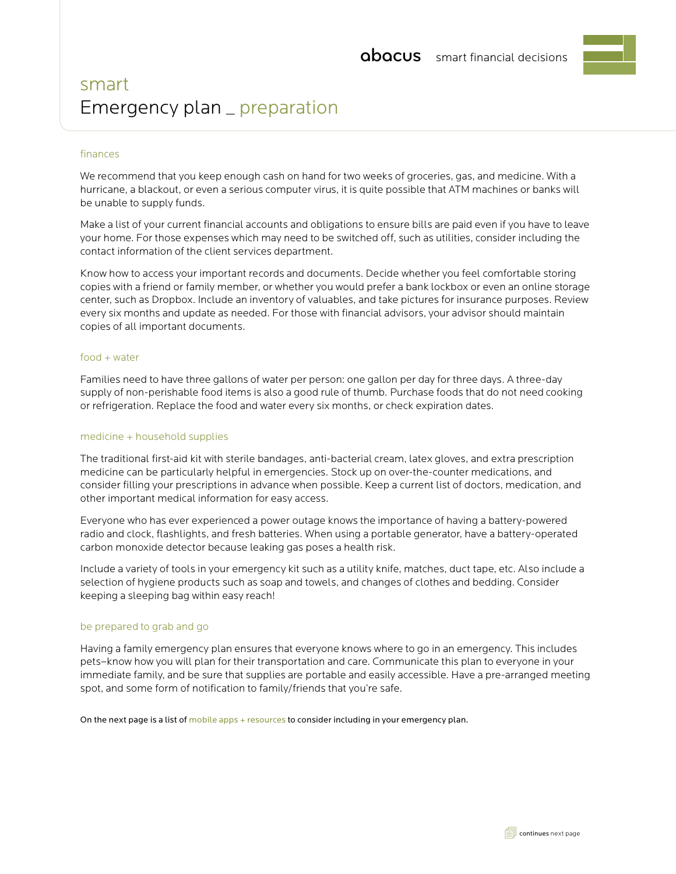# smart Emergency plan \_ preparation

# finances

We recommend that you keep enough cash on hand for two weeks of groceries, gas, and medicine. With a hurricane, a blackout, or even a serious computer virus, it is quite possible that ATM machines or banks will be unable to supply funds.

Make a list of your current financial accounts and obligations to ensure bills are paid even if you have to leave your home. For those expenses which may need to be switched off, such as utilities, consider including the contact information of the client services department.

Know how to access your important records and documents. Decide whether you feel comfortable storing copies with a friend or family member, or whether you would prefer a bank lockbox or even an online storage center, such as Dropbox. Include an inventory of valuables, and take pictures for insurance purposes. Review every six months and update as needed. For those with financial advisors, your advisor should maintain copies of all important documents.

## food + water

Families need to have three gallons of water per person: one gallon per day for three days. A three-day supply of non-perishable food items is also a good rule of thumb. Purchase foods that do not need cooking or refrigeration. Replace the food and water every six months, or check expiration dates.

## medicine + household supplies

The traditional first-aid kit with sterile bandages, anti-bacterial cream, latex gloves, and extra prescription medicine can be particularly helpful in emergencies. Stock up on over-the-counter medications, and consider filling your prescriptions in advance when possible. Keep a current list of doctors, medication, and other important medical information for easy access.

Everyone who has ever experienced a power outage knows the importance of having a battery-powered radio and clock, flashlights, and fresh batteries. When using a portable generator, have a battery-operated carbon monoxide detector because leaking gas poses a health risk.

Include a variety of tools in your emergency kit such as a utility knife, matches, duct tape, etc. Also include a selection of hygiene products such as soap and towels, and changes of clothes and bedding. Consider keeping a sleeping bag within easy reach!

## be prepared to grab and go

Having a family emergency plan ensures that everyone knows where to go in an emergency. This includes pets–know how you will plan for their transportation and care. Communicate this plan to everyone in your immediate family, and be sure that supplies are portable and easily accessible. Have a pre-arranged meeting spot, and some form of notification to family/friends that you're safe.

On the next page is a list of mobile apps + resources to consider including in your emergency plan.